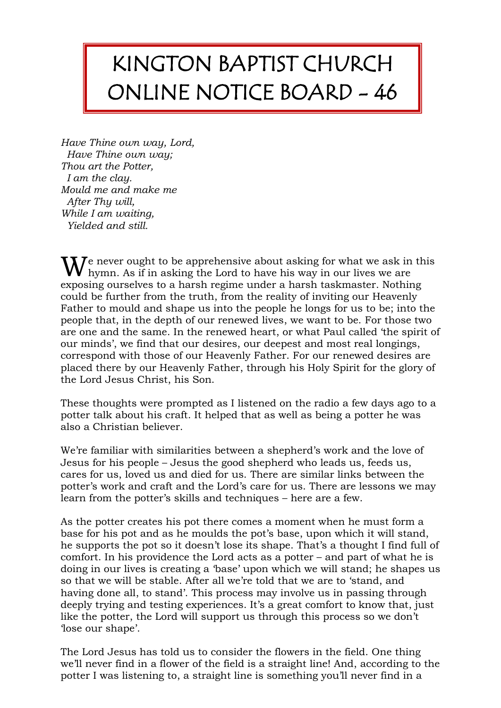## KINGTON BAPTIST CHURCH ONLINE NOTICE BOARD - 46

*Have Thine own way, Lord, Have Thine own way; Thou art the Potter, I am the clay. Mould me and make me After Thy will, While I am waiting, Yielded and still.*

 $\mathbf{W}$  hever ought to be apprehensive about asking for what we ask in this hymn. As if in asking the Lord to have his way in our lives we are hymn. As if in asking the Lord to have his way in our lives we are exposing ourselves to a harsh regime under a harsh taskmaster. Nothing could be further from the truth, from the reality of inviting our Heavenly Father to mould and shape us into the people he longs for us to be; into the people that, in the depth of our renewed lives, we want to be. For those two are one and the same. In the renewed heart, or what Paul called 'the spirit of our minds', we find that our desires, our deepest and most real longings, correspond with those of our Heavenly Father. For our renewed desires are placed there by our Heavenly Father, through his Holy Spirit for the glory of the Lord Jesus Christ, his Son.

These thoughts were prompted as I listened on the radio a few days ago to a potter talk about his craft. It helped that as well as being a potter he was also a Christian believer.

We're familiar with similarities between a shepherd's work and the love of Jesus for his people – Jesus the good shepherd who leads us, feeds us, cares for us, loved us and died for us. There are similar links between the potter's work and craft and the Lord's care for us. There are lessons we may learn from the potter's skills and techniques – here are a few.

As the potter creates his pot there comes a moment when he must form a base for his pot and as he moulds the pot's base, upon which it will stand, he supports the pot so it doesn't lose its shape. That's a thought I find full of comfort. In his providence the Lord acts as a potter – and part of what he is doing in our lives is creating a 'base' upon which we will stand; he shapes us so that we will be stable. After all we're told that we are to 'stand, and having done all, to stand'. This process may involve us in passing through deeply trying and testing experiences. It's a great comfort to know that, just like the potter, the Lord will support us through this process so we don't 'lose our shape'.

The Lord Jesus has told us to consider the flowers in the field. One thing we'll never find in a flower of the field is a straight line! And, according to the potter I was listening to, a straight line is something you'll never find in a